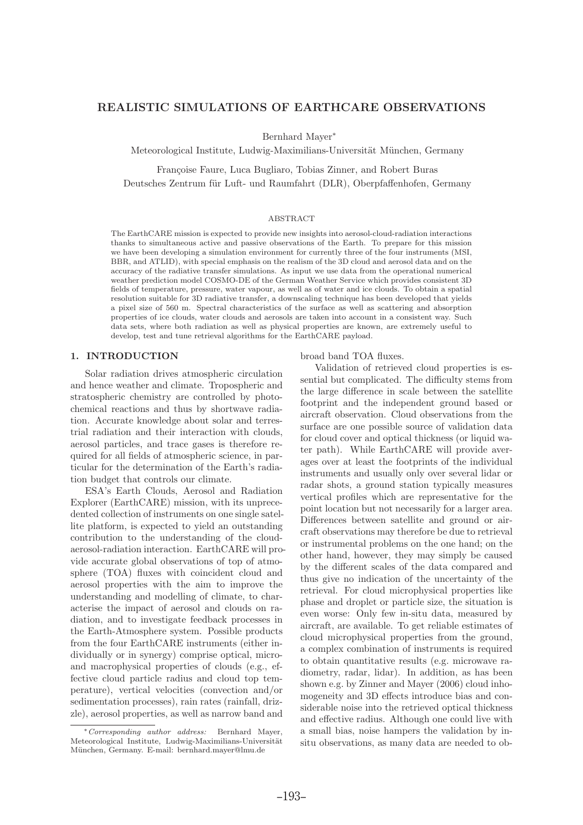# REALISTIC SIMULATIONS OF EARTHCARE OBSERVATIONS

Bernhard Mayer<sup>∗</sup>

Meteorological Institute, Ludwig-Maximilians-Universität München, Germany

Françoise Faure, Luca Bugliaro, Tobias Zinner, and Robert Buras

Deutsches Zentrum für Luft- und Raumfahrt (DLR), Oberpfaffenhofen, Germany

## ABSTRACT

The EarthCARE mission is expected to provide new insights into aerosol-cloud-radiation interactions thanks to simultaneous active and passive observations of the Earth. To prepare for this mission we have been developing a simulation environment for currently three of the four instruments (MSI, BBR, and ATLID), with special emphasis on the realism of the 3D cloud and aerosol data and on the accuracy of the radiative transfer simulations. As input we use data from the operational numerical weather prediction model COSMO-DE of the German Weather Service which provides consistent 3D fields of temperature, pressure, water vapour, as well as of water and ice clouds. To obtain a spatial resolution suitable for 3D radiative transfer, a downscaling technique has been developed that yields a pixel size of 560 m. Spectral characteristics of the surface as well as scattering and absorption properties of ice clouds, water clouds and aerosols are taken into account in a consistent way. Such data sets, where both radiation as well as physical properties are known, are extremely useful to develop, test and tune retrieval algorithms for the EarthCARE payload.

## 1. INTRODUCTION

Solar radiation drives atmospheric circulation and hence weather and climate. Tropospheric and stratospheric chemistry are controlled by photochemical reactions and thus by shortwave radiation. Accurate knowledge about solar and terrestrial radiation and their interaction with clouds, aerosol particles, and trace gases is therefore required for all fields of atmospheric science, in particular for the determination of the Earth's radiation budget that controls our climate.

ESA's Earth Clouds, Aerosol and Radiation Explorer (EarthCARE) mission, with its unprecedented collection of instruments on one single satellite platform, is expected to yield an outstanding contribution to the understanding of the cloudaerosol-radiation interaction. EarthCARE will provide accurate global observations of top of atmosphere (TOA) fluxes with coincident cloud and aerosol properties with the aim to improve the understanding and modelling of climate, to characterise the impact of aerosol and clouds on radiation, and to investigate feedback processes in the Earth-Atmosphere system. Possible products from the four EarthCARE instruments (either individually or in synergy) comprise optical, microand macrophysical properties of clouds (e.g., effective cloud particle radius and cloud top temperature), vertical velocities (convection and/or sedimentation processes), rain rates (rainfall, drizzle), aerosol properties, as well as narrow band and

#### broad band TOA fluxes.

Validation of retrieved cloud properties is essential but complicated. The difficulty stems from the large difference in scale between the satellite footprint and the independent ground based or aircraft observation. Cloud observations from the surface are one possible source of validation data for cloud cover and optical thickness (or liquid water path). While EarthCARE will provide averages over at least the footprints of the individual instruments and usually only over several lidar or radar shots, a ground station typically measures vertical profiles which are representative for the point location but not necessarily for a larger area. Differences between satellite and ground or aircraft observations may therefore be due to retrieval or instrumental problems on the one hand; on the other hand, however, they may simply be caused by the different scales of the data compared and thus give no indication of the uncertainty of the retrieval. For cloud microphysical properties like phase and droplet or particle size, the situation is even worse: Only few in-situ data, measured by aircraft, are available. To get reliable estimates of cloud microphysical properties from the ground, a complex combination of instruments is required to obtain quantitative results (e.g. microwave radiometry, radar, lidar). In addition, as has been shown e.g. by Zinner and Mayer (2006) cloud inhomogeneity and 3D effects introduce bias and considerable noise into the retrieved optical thickness and effective radius. Although one could live with a small bias, noise hampers the validation by insitu observations, as many data are needed to ob-

<sup>∗</sup>Corresponding author address: Bernhard Mayer, Meteorological Institute, Ludwig-Maximilians-Universität München, Germany. E-mail: bernhard.mayer@lmu.de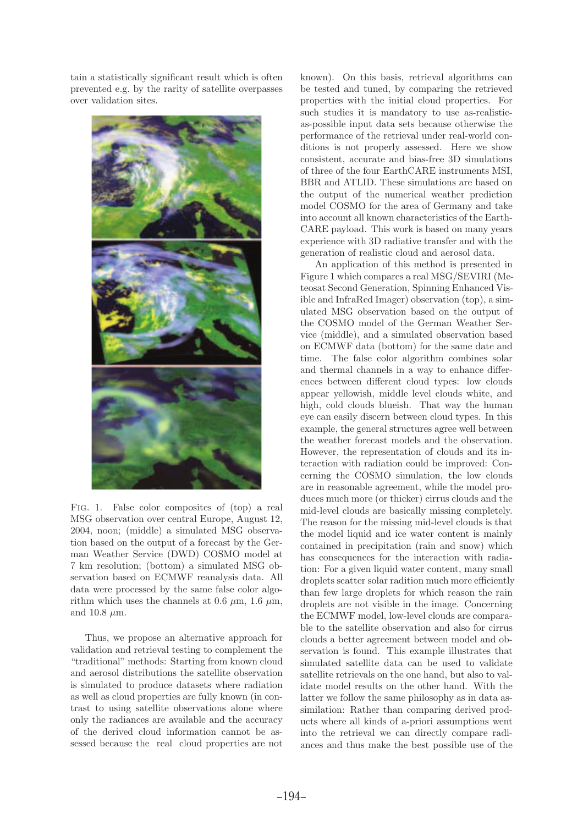tain a statistically significant result which is often prevented e.g. by the rarity of satellite overpasses over validation sites.



Fig. 1. False color composites of (top) a real MSG observation over central Europe, August 12, 2004, noon; (middle) a simulated MSG observation based on the output of a forecast by the German Weather Service (DWD) COSMO model at 7 km resolution; (bottom) a simulated MSG observation based on ECMWF reanalysis data. All data were processed by the same false color algorithm which uses the channels at 0.6  $\mu$ m, 1.6  $\mu$ m, and 10.8  $\mu$ m.

Thus, we propose an alternative approach for validation and retrieval testing to complement the "traditional" methods: Starting from known cloud and aerosol distributions the satellite observation is simulated to produce datasets where radiation as well as cloud properties are fully known (in contrast to using satellite observations alone where only the radiances are available and the accuracy of the derived cloud information cannot be assessed because the real cloud properties are not

known). On this basis, retrieval algorithms can be tested and tuned, by comparing the retrieved properties with the initial cloud properties. For such studies it is mandatory to use as-realisticas-possible input data sets because otherwise the performance of the retrieval under real-world conditions is not properly assessed. Here we show consistent, accurate and bias-free 3D simulations of three of the four EarthCARE instruments MSI, BBR and ATLID. These simulations are based on the output of the numerical weather prediction model COSMO for the area of Germany and take into account all known characteristics of the Earth-CARE payload. This work is based on many years experience with 3D radiative transfer and with the generation of realistic cloud and aerosol data.

An application of this method is presented in Figure 1 which compares a real MSG/SEVIRI (Meteosat Second Generation, Spinning Enhanced Visible and InfraRed Imager) observation (top), a simulated MSG observation based on the output of the COSMO model of the German Weather Service (middle), and a simulated observation based on ECMWF data (bottom) for the same date and time. The false color algorithm combines solar and thermal channels in a way to enhance differences between different cloud types: low clouds appear yellowish, middle level clouds white, and high, cold clouds blueish. That way the human eye can easily discern between cloud types. In this example, the general structures agree well between the weather forecast models and the observation. However, the representation of clouds and its interaction with radiation could be improved: Concerning the COSMO simulation, the low clouds are in reasonable agreement, while the model produces much more (or thicker) cirrus clouds and the mid-level clouds are basically missing completely. The reason for the missing mid-level clouds is that the model liquid and ice water content is mainly contained in precipitation (rain and snow) which has consequences for the interaction with radiation: For a given liquid water content, many small droplets scatter solar radition much more efficiently than few large droplets for which reason the rain droplets are not visible in the image. Concerning the ECMWF model, low-level clouds are comparable to the satellite observation and also for cirrus clouds a better agreement between model and observation is found. This example illustrates that simulated satellite data can be used to validate satellite retrievals on the one hand, but also to validate model results on the other hand. With the latter we follow the same philosophy as in data assimilation: Rather than comparing derived products where all kinds of a-priori assumptions went into the retrieval we can directly compare radiances and thus make the best possible use of the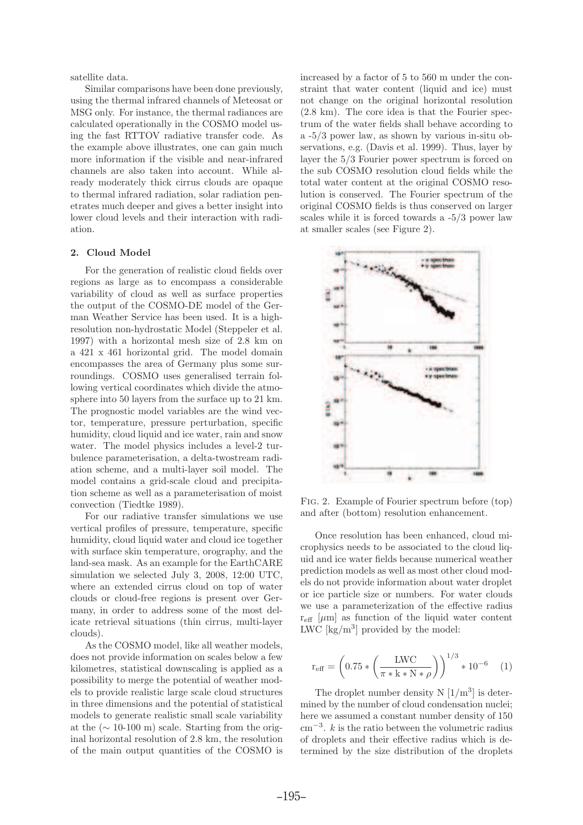satellite data.

Similar comparisons have been done previously, using the thermal infrared channels of Meteosat or MSG only. For instance, the thermal radiances are calculated operationally in the COSMO model using the fast RTTOV radiative transfer code. As the example above illustrates, one can gain much more information if the visible and near-infrared channels are also taken into account. While already moderately thick cirrus clouds are opaque to thermal infrared radiation, solar radiation penetrates much deeper and gives a better insight into lower cloud levels and their interaction with radiation.

# 2. Cloud Model

For the generation of realistic cloud fields over regions as large as to encompass a considerable variability of cloud as well as surface properties the output of the COSMO-DE model of the German Weather Service has been used. It is a highresolution non-hydrostatic Model (Steppeler et al. 1997) with a horizontal mesh size of 2.8 km on a 421 x 461 horizontal grid. The model domain encompasses the area of Germany plus some surroundings. COSMO uses generalised terrain following vertical coordinates which divide the atmosphere into 50 layers from the surface up to 21 km. The prognostic model variables are the wind vector, temperature, pressure perturbation, specific humidity, cloud liquid and ice water, rain and snow water. The model physics includes a level-2 turbulence parameterisation, a delta-twostream radiation scheme, and a multi-layer soil model. The model contains a grid-scale cloud and precipitation scheme as well as a parameterisation of moist convection (Tiedtke 1989).

For our radiative transfer simulations we use vertical profiles of pressure, temperature, specific humidity, cloud liquid water and cloud ice together with surface skin temperature, orography, and the land-sea mask. As an example for the EarthCARE simulation we selected July 3, 2008, 12:00 UTC, where an extended cirrus cloud on top of water clouds or cloud-free regions is present over Germany, in order to address some of the most delicate retrieval situations (thin cirrus, multi-layer clouds).

As the COSMO model, like all weather models, does not provide information on scales below a few kilometres, statistical downscaling is applied as a possibility to merge the potential of weather models to provide realistic large scale cloud structures in three dimensions and the potential of statistical models to generate realistic small scale variability at the  $(\sim 10{\text -}100 \text{ m})$  scale. Starting from the original horizontal resolution of 2.8 km, the resolution of the main output quantities of the COSMO is

increased by a factor of 5 to 560 m under the constraint that water content (liquid and ice) must not change on the original horizontal resolution (2.8 km). The core idea is that the Fourier spectrum of the water fields shall behave according to a -5/3 power law, as shown by various in-situ observations, e.g. (Davis et al. 1999). Thus, layer by layer the 5/3 Fourier power spectrum is forced on the sub COSMO resolution cloud fields while the total water content at the original COSMO resolution is conserved. The Fourier spectrum of the original COSMO fields is thus conserved on larger scales while it is forced towards a -5/3 power law at smaller scales (see Figure 2).



Fig. 2. Example of Fourier spectrum before (top) and after (bottom) resolution enhancement.

Once resolution has been enhanced, cloud microphysics needs to be associated to the cloud liquid and ice water fields because numerical weather prediction models as well as most other cloud models do not provide information about water droplet or ice particle size or numbers. For water clouds we use a parameterization of the effective radius  $r_{\text{eff}}$  [ $\mu$ m] as function of the liquid water content LWC  $\left[\frac{\text{kg}}{\text{m}^3}\right]$  provided by the model:

$$
r_{\text{eff}} = \left(0.75 * \left(\frac{\text{LWC}}{\pi * k * N * \rho}\right)\right)^{1/3} * 10^{-6} \quad (1)
$$

The droplet number density  $N\left[1/m^3\right]$  is determined by the number of cloud condensation nuclei; here we assumed a constant number density of 150 cm<sup>−</sup><sup>3</sup> . k is the ratio between the volumetric radius of droplets and their effective radius which is determined by the size distribution of the droplets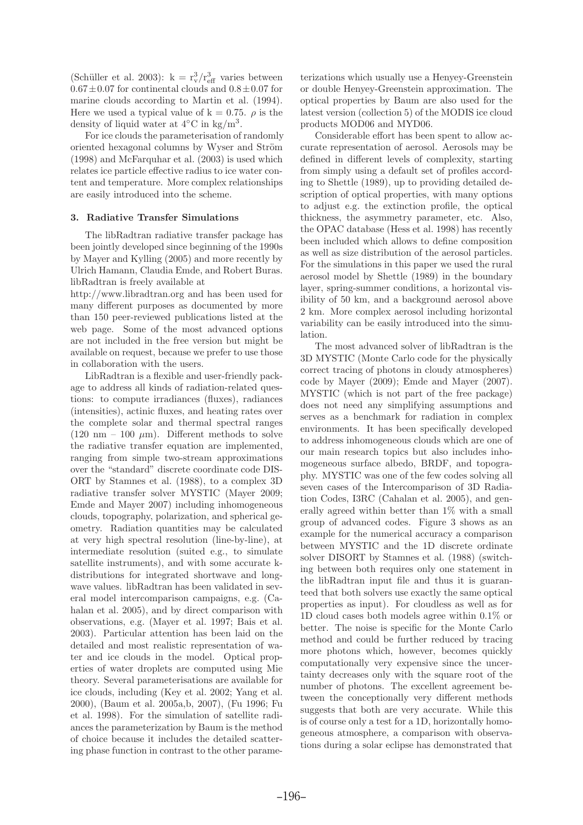(Schüller et al. 2003):  $k = r_v^3/r_{\text{eff}}^3$  varies between  $0.67\pm0.07$  for continental clouds and  $0.8\pm0.07$  for marine clouds according to Martin et al. (1994). Here we used a typical value of  $k = 0.75$ .  $\rho$  is the density of liquid water at  $4°C$  in kg/m<sup>3</sup>.

For ice clouds the parameterisation of randomly oriented hexagonal columns by Wyser and Ström (1998) and McFarquhar et al. (2003) is used which relates ice particle effective radius to ice water content and temperature. More complex relationships are easily introduced into the scheme.

## 3. Radiative Transfer Simulations

The libRadtran radiative transfer package has been jointly developed since beginning of the 1990s by Mayer and Kylling (2005) and more recently by Ulrich Hamann, Claudia Emde, and Robert Buras. libRadtran is freely available at

http://www.libradtran.org and has been used for many different purposes as documented by more than 150 peer-reviewed publications listed at the web page. Some of the most advanced options are not included in the free version but might be available on request, because we prefer to use those in collaboration with the users.

LibRadtran is a flexible and user-friendly package to address all kinds of radiation-related questions: to compute irradiances (fluxes), radiances (intensities), actinic fluxes, and heating rates over the complete solar and thermal spectral ranges (120 nm – 100  $\mu$ m). Different methods to solve the radiative transfer equation are implemented, ranging from simple two-stream approximations over the "standard" discrete coordinate code DIS-ORT by Stamnes et al. (1988), to a complex 3D radiative transfer solver MYSTIC (Mayer 2009; Emde and Mayer 2007) including inhomogeneous clouds, topography, polarization, and spherical geometry. Radiation quantities may be calculated at very high spectral resolution (line-by-line), at intermediate resolution (suited e.g., to simulate satellite instruments), and with some accurate kdistributions for integrated shortwave and longwave values. libRadtran has been validated in several model intercomparison campaigns, e.g. (Cahalan et al. 2005), and by direct comparison with observations, e.g. (Mayer et al. 1997; Bais et al. 2003). Particular attention has been laid on the detailed and most realistic representation of water and ice clouds in the model. Optical properties of water droplets are computed using Mie theory. Several parameterisations are available for ice clouds, including (Key et al. 2002; Yang et al. 2000), (Baum et al. 2005a,b, 2007), (Fu 1996; Fu et al. 1998). For the simulation of satellite radiances the parameterization by Baum is the method of choice because it includes the detailed scattering phase function in contrast to the other parame-

terizations which usually use a Henyey-Greenstein or double Henyey-Greenstein approximation. The optical properties by Baum are also used for the latest version (collection 5) of the MODIS ice cloud products MOD06 and MYD06.

Considerable effort has been spent to allow accurate representation of aerosol. Aerosols may be defined in different levels of complexity, starting from simply using a default set of profiles according to Shettle (1989), up to providing detailed description of optical properties, with many options to adjust e.g. the extinction profile, the optical thickness, the asymmetry parameter, etc. Also, the OPAC database (Hess et al. 1998) has recently been included which allows to define composition as well as size distribution of the aerosol particles. For the simulations in this paper we used the rural aerosol model by Shettle (1989) in the boundary layer, spring-summer conditions, a horizontal visibility of 50 km, and a background aerosol above 2 km. More complex aerosol including horizontal variability can be easily introduced into the simulation.

The most advanced solver of libRadtran is the 3D MYSTIC (Monte Carlo code for the physically correct tracing of photons in cloudy atmospheres) code by Mayer (2009); Emde and Mayer (2007). MYSTIC (which is not part of the free package) does not need any simplifying assumptions and serves as a benchmark for radiation in complex environments. It has been specifically developed to address inhomogeneous clouds which are one of our main research topics but also includes inhomogeneous surface albedo, BRDF, and topography. MYSTIC was one of the few codes solving all seven cases of the Intercomparison of 3D Radiation Codes, I3RC (Cahalan et al. 2005), and generally agreed within better than 1% with a small group of advanced codes. Figure 3 shows as an example for the numerical accuracy a comparison between MYSTIC and the 1D discrete ordinate solver DISORT by Stamnes et al. (1988) (switching between both requires only one statement in the libRadtran input file and thus it is guaranteed that both solvers use exactly the same optical properties as input). For cloudless as well as for 1D cloud cases both models agree within 0.1% or better. The noise is specific for the Monte Carlo method and could be further reduced by tracing more photons which, however, becomes quickly computationally very expensive since the uncertainty decreases only with the square root of the number of photons. The excellent agreement between the conceptionally very different methods suggests that both are very accurate. While this is of course only a test for a 1D, horizontally homogeneous atmosphere, a comparison with observations during a solar eclipse has demonstrated that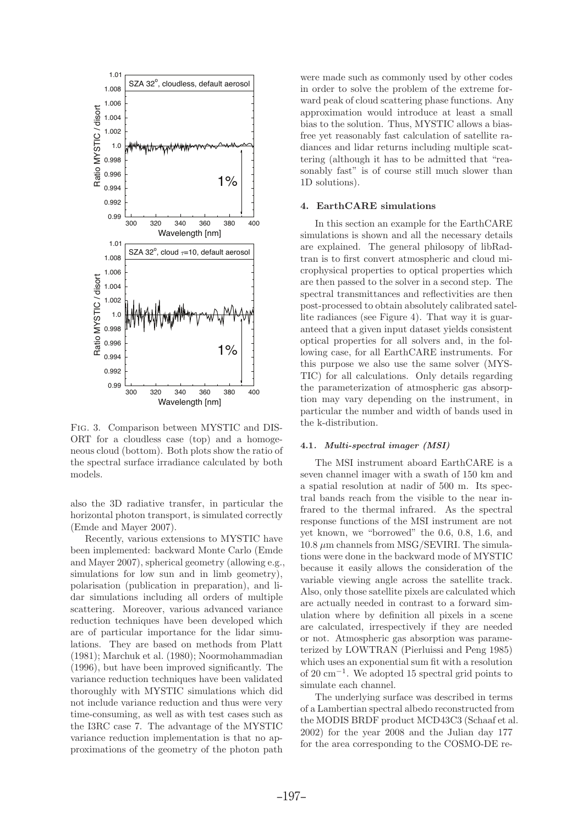

Fig. 3. Comparison between MYSTIC and DIS-ORT for a cloudless case (top) and a homogeneous cloud (bottom). Both plots show the ratio of the spectral surface irradiance calculated by both models.

also the 3D radiative transfer, in particular the horizontal photon transport, is simulated correctly (Emde and Mayer 2007).

Recently, various extensions to MYSTIC have been implemented: backward Monte Carlo (Emde and Mayer 2007), spherical geometry (allowing e.g., simulations for low sun and in limb geometry), polarisation (publication in preparation), and lidar simulations including all orders of multiple scattering. Moreover, various advanced variance reduction techniques have been developed which are of particular importance for the lidar simulations. They are based on methods from Platt (1981); Marchuk et al. (1980); Noormohammadian (1996), but have been improved significantly. The variance reduction techniques have been validated thoroughly with MYSTIC simulations which did not include variance reduction and thus were very time-consuming, as well as with test cases such as the I3RC case 7. The advantage of the MYSTIC variance reduction implementation is that no approximations of the geometry of the photon path

were made such as commonly used by other codes in order to solve the problem of the extreme forward peak of cloud scattering phase functions. Any approximation would introduce at least a small bias to the solution. Thus, MYSTIC allows a biasfree yet reasonably fast calculation of satellite radiances and lidar returns including multiple scattering (although it has to be admitted that "reasonably fast" is of course still much slower than 1D solutions).

## 4. EarthCARE simulations

In this section an example for the EarthCARE simulations is shown and all the necessary details are explained. The general philosopy of libRadtran is to first convert atmospheric and cloud microphysical properties to optical properties which are then passed to the solver in a second step. The spectral transmittances and reflectivities are then post-processed to obtain absolutely calibrated satellite radiances (see Figure 4). That way it is guaranteed that a given input dataset yields consistent optical properties for all solvers and, in the following case, for all EarthCARE instruments. For this purpose we also use the same solver (MYS-TIC) for all calculations. Only details regarding the parameterization of atmospheric gas absorption may vary depending on the instrument, in particular the number and width of bands used in the k-distribution.

### 4.1. Multi-spectral imager (MSI)

The MSI instrument aboard EarthCARE is a seven channel imager with a swath of 150 km and a spatial resolution at nadir of 500 m. Its spectral bands reach from the visible to the near infrared to the thermal infrared. As the spectral response functions of the MSI instrument are not yet known, we "borrowed" the 0.6, 0.8, 1.6, and  $10.8 \ \mu m$  channels from MSG/SEVIRI. The simulations were done in the backward mode of MYSTIC because it easily allows the consideration of the variable viewing angle across the satellite track. Also, only those satellite pixels are calculated which are actually needed in contrast to a forward simulation where by definition all pixels in a scene are calculated, irrespectively if they are needed or not. Atmospheric gas absorption was parameterized by LOWTRAN (Pierluissi and Peng 1985) which uses an exponential sum fit with a resolution of 20 cm<sup>−</sup><sup>1</sup> . We adopted 15 spectral grid points to simulate each channel.

The underlying surface was described in terms of a Lambertian spectral albedo reconstructed from the MODIS BRDF product MCD43C3 (Schaaf et al. 2002) for the year 2008 and the Julian day 177 for the area corresponding to the COSMO-DE re-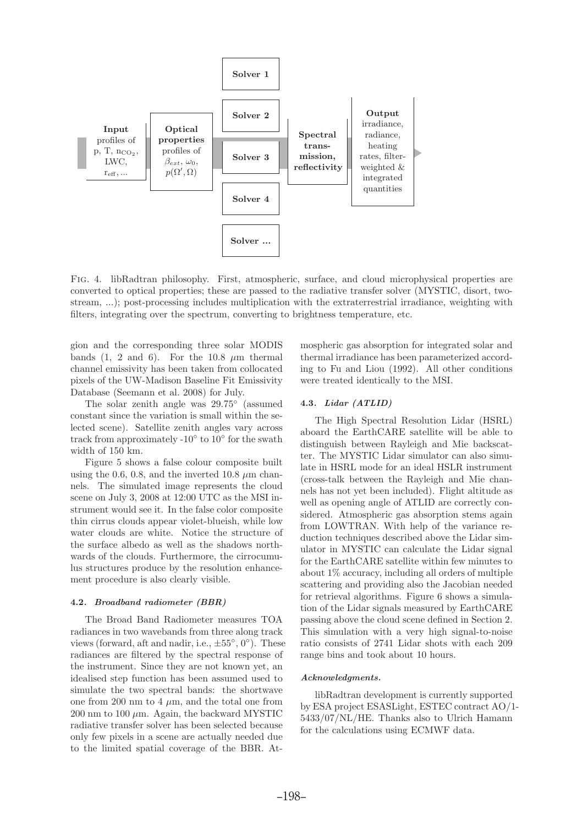

Fig. 4. libRadtran philosophy. First, atmospheric, surface, and cloud microphysical properties are converted to optical properties; these are passed to the radiative transfer solver (MYSTIC, disort, twostream, ...); post-processing includes multiplication with the extraterrestrial irradiance, weighting with filters, integrating over the spectrum, converting to brightness temperature, etc.

gion and the corresponding three solar MODIS bands (1, 2 and 6). For the 10.8  $\mu$ m thermal channel emissivity has been taken from collocated pixels of the UW-Madison Baseline Fit Emissivity Database (Seemann et al. 2008) for July.

The solar zenith angle was 29.75<sup>°</sup> (assumed constant since the variation is small within the selected scene). Satellite zenith angles vary across track from approximately -10 $\degree$  to 10 $\degree$  for the swath width of 150 km.

Figure 5 shows a false colour composite built using the 0.6, 0.8, and the inverted 10.8  $\mu$ m channels. The simulated image represents the cloud scene on July 3, 2008 at 12:00 UTC as the MSI instrument would see it. In the false color composite thin cirrus clouds appear violet-blueish, while low water clouds are white. Notice the structure of the surface albedo as well as the shadows northwards of the clouds. Furthermore, the cirrocumulus structures produce by the resolution enhancement procedure is also clearly visible.

## 4.2. Broadband radiometer (BBR)

The Broad Band Radiometer measures TOA radiances in two wavebands from three along track views (forward, aft and nadir, i.e.,  $\pm 55^{\circ}$ , 0°). These radiances are filtered by the spectral response of the instrument. Since they are not known yet, an idealised step function has been assumed used to simulate the two spectral bands: the shortwave one from 200 nm to 4  $\mu$ m, and the total one from  $200 \text{ nm}$  to  $100 \mu \text{m}$ . Again, the backward MYSTIC radiative transfer solver has been selected because only few pixels in a scene are actually needed due to the limited spatial coverage of the BBR. Atmospheric gas absorption for integrated solar and thermal irradiance has been parameterized according to Fu and Liou (1992). All other conditions were treated identically to the MSI.

### 4.3. Lidar (ATLID)

The High Spectral Resolution Lidar (HSRL) aboard the EarthCARE satellite will be able to distinguish between Rayleigh and Mie backscatter. The MYSTIC Lidar simulator can also simulate in HSRL mode for an ideal HSLR instrument (cross-talk between the Rayleigh and Mie channels has not yet been included). Flight altitude as well as opening angle of ATLID are correctly considered. Atmospheric gas absorption stems again from LOWTRAN. With help of the variance reduction techniques described above the Lidar simulator in MYSTIC can calculate the Lidar signal for the EarthCARE satellite within few minutes to about 1% accuracy, including all orders of multiple scattering and providing also the Jacobian needed for retrieval algorithms. Figure 6 shows a simulation of the Lidar signals measured by EarthCARE passing above the cloud scene defined in Section 2. This simulation with a very high signal-to-noise ratio consists of 2741 Lidar shots with each 209 range bins and took about 10 hours.

### Acknowledgments.

libRadtran development is currently supported by ESA project ESASLight, ESTEC contract AO/1- 5433/07/NL/HE. Thanks also to Ulrich Hamann for the calculations using ECMWF data.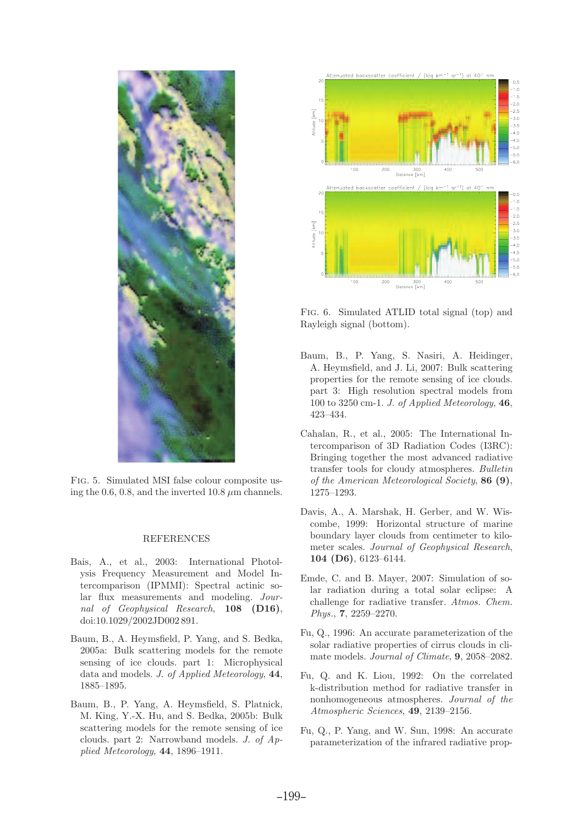

Fig. 5. Simulated MSI false colour composite using the 0.6, 0.8, and the inverted 10.8  $\mu$ m channels.

### REFERENCES

- Bais, A., et al., 2003: International Photolysis Frequency Measurement and Model Intercomparison (IPMMI): Spectral actinic solar flux measurements and modeling. Journal of Geophysical Research, 108 (D16), doi:10.1029/2002JD002891.
- Baum, B., A. Heymsfield, P. Yang, and S. Bedka, 2005a: Bulk scattering models for the remote sensing of ice clouds. part 1: Microphysical data and models. J. of Applied Meteorology, 44, 1885–1895.
- Baum, B., P. Yang, A. Heymsfield, S. Platnick, M. King, Y.-X. Hu, and S. Bedka, 2005b: Bulk scattering models for the remote sensing of ice clouds. part 2: Narrowband models. J. of Applied Meteorology, 44, 1896–1911.



Fig. 6. Simulated ATLID total signal (top) and Rayleigh signal (bottom).

- Baum, B., P. Yang, S. Nasiri, A. Heidinger, A. Heymsfield, and J. Li, 2007: Bulk scattering properties for the remote sensing of ice clouds. part 3: High resolution spectral models from 100 to 3250 cm-1. J. of Applied Meteorology,  $46$ , 423–434.
- Cahalan, R., et al., 2005: The International Intercomparison of 3D Radiation Codes (I3RC): Bringing together the most advanced radiative transfer tools for cloudy atmospheres. Bulletin of the American Meteorological Society, 86 (9), 1275–1293.
- Davis, A., A. Marshak, H. Gerber, and W. Wiscombe, 1999: Horizontal structure of marine boundary layer clouds from centimeter to kilometer scales. Journal of Geophysical Research, 104 (D6), 6123–6144.
- Emde, C. and B. Mayer, 2007: Simulation of solar radiation during a total solar eclipse: A challenge for radiative transfer. Atmos. Chem. Phys., 7, 2259–2270.
- Fu, Q., 1996: An accurate parameterization of the solar radiative properties of cirrus clouds in climate models. Journal of Climate, 9, 2058–2082.
- Fu, Q. and K. Liou, 1992: On the correlated k-distribution method for radiative transfer in nonhomogeneous atmospheres. Journal of the Atmospheric Sciences, 49, 2139–2156.
- Fu, Q., P. Yang, and W. Sun, 1998: An accurate parameterization of the infrared radiative prop-